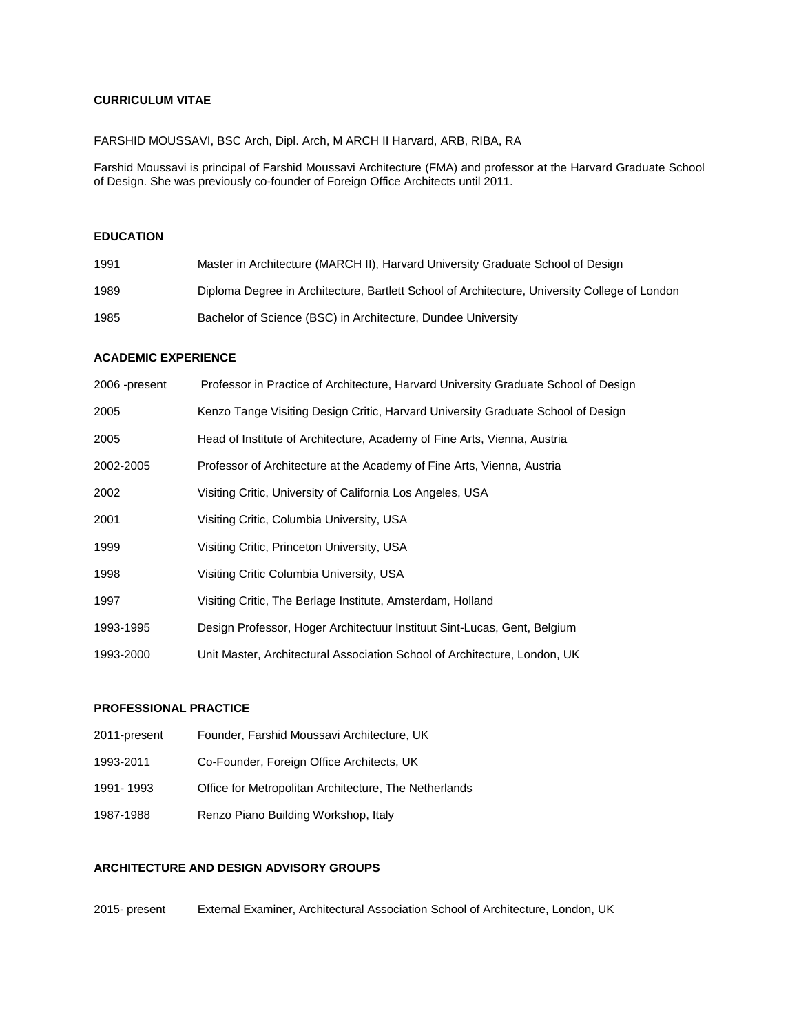#### **CURRICULUM VITAE**

#### FARSHID MOUSSAVI, BSC Arch, Dipl. Arch, M ARCH II Harvard, ARB, RIBA, RA

Farshid Moussavi is principal of Farshid Moussavi Architecture (FMA) and professor at the Harvard Graduate School of Design. She was previously co-founder of Foreign Office Architects until 2011.

# **EDUCATION**

| 1991 | Master in Architecture (MARCH II), Harvard University Graduate School of Design               |
|------|-----------------------------------------------------------------------------------------------|
| 1989 | Diploma Degree in Architecture, Bartlett School of Architecture, University College of London |
| 1985 | Bachelor of Science (BSC) in Architecture, Dundee University                                  |

#### **ACADEMIC EXPERIENCE**

| 2006 -present | Professor in Practice of Architecture, Harvard University Graduate School of Design |
|---------------|-------------------------------------------------------------------------------------|
| 2005          | Kenzo Tange Visiting Design Critic, Harvard University Graduate School of Design    |
| 2005          | Head of Institute of Architecture, Academy of Fine Arts, Vienna, Austria            |
| 2002-2005     | Professor of Architecture at the Academy of Fine Arts, Vienna, Austria              |
| 2002          | Visiting Critic, University of California Los Angeles, USA                          |
| 2001          | Visiting Critic, Columbia University, USA                                           |
| 1999          | Visiting Critic, Princeton University, USA                                          |
| 1998          | Visiting Critic Columbia University, USA                                            |
| 1997          | Visiting Critic, The Berlage Institute, Amsterdam, Holland                          |
| 1993-1995     | Design Professor, Hoger Architectuur Instituut Sint-Lucas, Gent, Belgium            |
| 1993-2000     | Unit Master, Architectural Association School of Architecture, London, UK           |

## **PROFESSIONAL PRACTICE**

| 2011-present | Founder, Farshid Moussavi Architecture, UK            |
|--------------|-------------------------------------------------------|
| 1993-2011    | Co-Founder, Foreign Office Architects, UK             |
| 1991-1993    | Office for Metropolitan Architecture, The Netherlands |
| 1987-1988    | Renzo Piano Building Workshop, Italy                  |

## **ARCHITECTURE AND DESIGN ADVISORY GROUPS**

2015- present External Examiner, Architectural Association School of Architecture, London, UK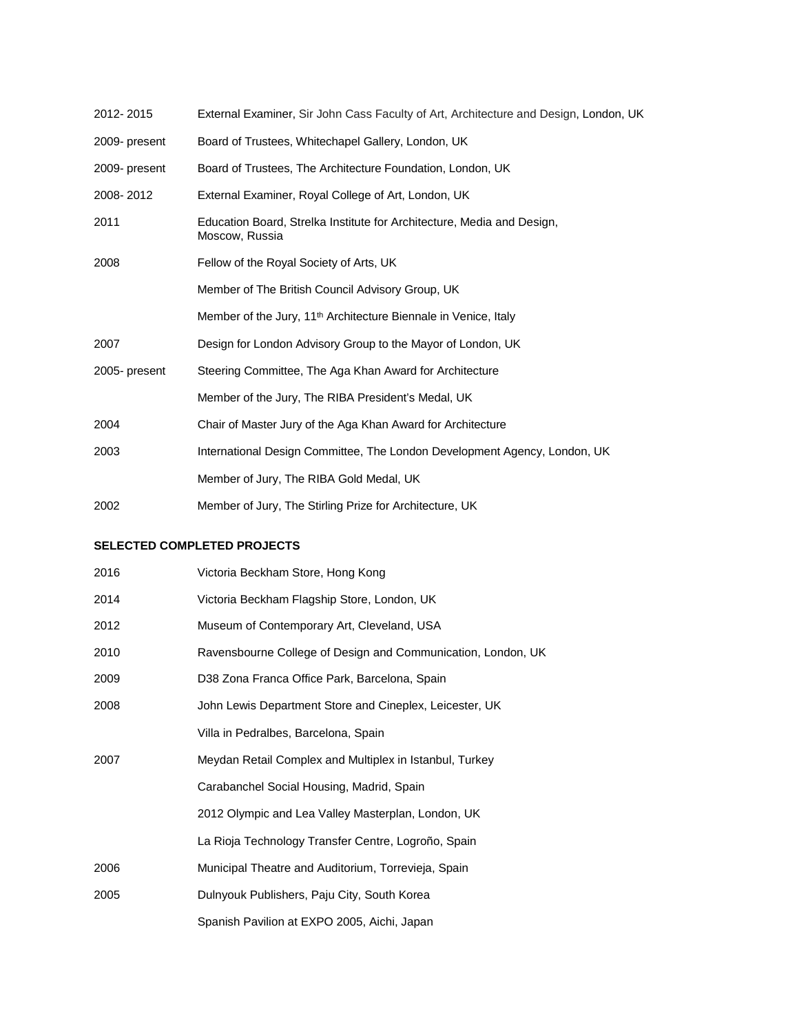| 2012-2015     | External Examiner, Sir John Cass Faculty of Art, Architecture and Design, London, UK     |
|---------------|------------------------------------------------------------------------------------------|
| 2009- present | Board of Trustees, Whitechapel Gallery, London, UK                                       |
| 2009- present | Board of Trustees, The Architecture Foundation, London, UK                               |
| 2008-2012     | External Examiner, Royal College of Art, London, UK                                      |
| 2011          | Education Board, Strelka Institute for Architecture, Media and Design,<br>Moscow, Russia |
| 2008          | Fellow of the Royal Society of Arts, UK                                                  |
|               | Member of The British Council Advisory Group, UK                                         |
|               | Member of the Jury, 11 <sup>th</sup> Architecture Biennale in Venice, Italy              |
| 2007          | Design for London Advisory Group to the Mayor of London, UK                              |
| 2005-present  | Steering Committee, The Aga Khan Award for Architecture                                  |
|               | Member of the Jury, The RIBA President's Medal, UK                                       |
| 2004          | Chair of Master Jury of the Aga Khan Award for Architecture                              |
| 2003          | International Design Committee, The London Development Agency, London, UK                |
|               | Member of Jury, The RIBA Gold Medal, UK                                                  |
| 2002          | Member of Jury, The Stirling Prize for Architecture, UK                                  |

#### **SELECTED COMPLETED PROJECTS**

| 2016 | Victoria Beckham Store, Hong Kong                            |
|------|--------------------------------------------------------------|
| 2014 | Victoria Beckham Flagship Store, London, UK                  |
| 2012 | Museum of Contemporary Art, Cleveland, USA                   |
| 2010 | Ravensbourne College of Design and Communication, London, UK |
| 2009 | D38 Zona Franca Office Park, Barcelona, Spain                |
| 2008 | John Lewis Department Store and Cineplex, Leicester, UK      |
|      | Villa in Pedralbes, Barcelona, Spain                         |
| 2007 | Meydan Retail Complex and Multiplex in Istanbul, Turkey      |
|      | Carabanchel Social Housing, Madrid, Spain                    |
|      | 2012 Olympic and Lea Valley Masterplan, London, UK           |
|      | La Rioja Technology Transfer Centre, Logroño, Spain          |
| 2006 | Municipal Theatre and Auditorium, Torrevieja, Spain          |
| 2005 | Dulnyouk Publishers, Paju City, South Korea                  |
|      | Spanish Pavilion at EXPO 2005, Aichi, Japan                  |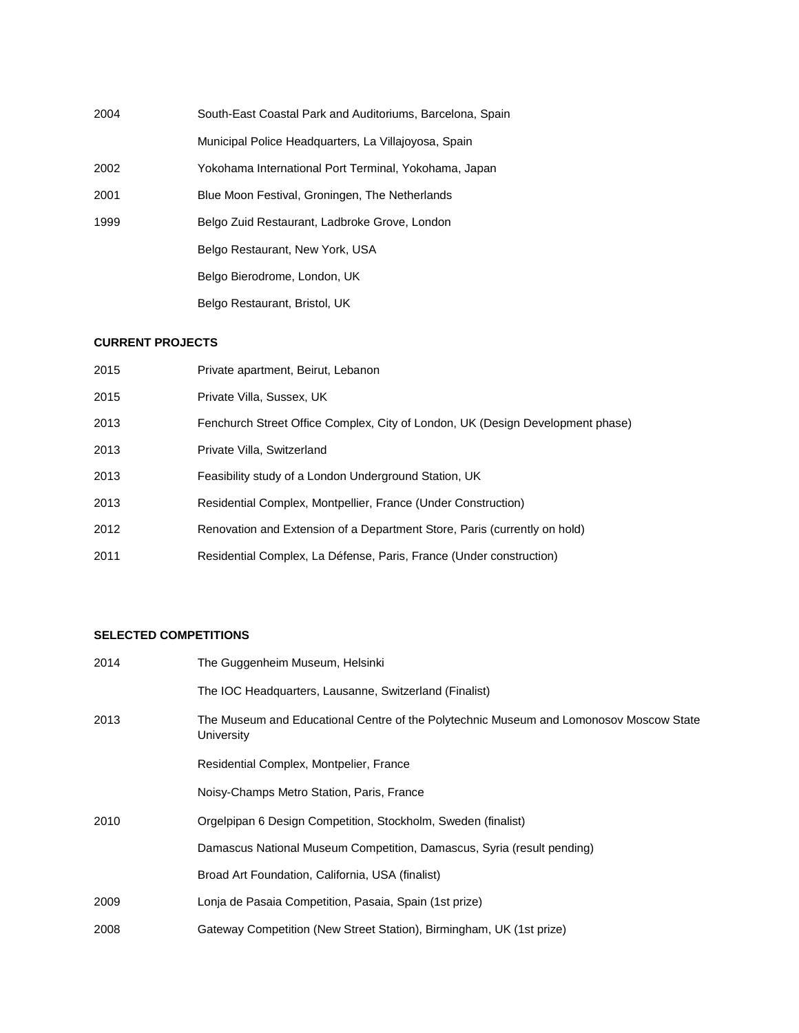| 2004 | South-East Coastal Park and Auditoriums, Barcelona, Spain |
|------|-----------------------------------------------------------|
|      | Municipal Police Headquarters, La Villajoyosa, Spain      |
| 2002 | Yokohama International Port Terminal, Yokohama, Japan     |
| 2001 | Blue Moon Festival, Groningen, The Netherlands            |
| 1999 | Belgo Zuid Restaurant, Ladbroke Grove, London             |
|      | Belgo Restaurant, New York, USA                           |
|      | Belgo Bierodrome, London, UK                              |
|      | Belgo Restaurant, Bristol, UK                             |

#### **CURRENT PROJECTS**

| 2015 | Private apartment, Beirut, Lebanon                                             |
|------|--------------------------------------------------------------------------------|
| 2015 | Private Villa, Sussex, UK                                                      |
| 2013 | Fenchurch Street Office Complex, City of London, UK (Design Development phase) |
| 2013 | Private Villa, Switzerland                                                     |
| 2013 | Feasibility study of a London Underground Station, UK                          |
| 2013 | Residential Complex, Montpellier, France (Under Construction)                  |
| 2012 | Renovation and Extension of a Department Store, Paris (currently on hold)      |
| 2011 | Residential Complex, La Défense, Paris, France (Under construction)            |

### **SELECTED COMPETITIONS**

| 2014 | The Guggenheim Museum, Helsinki                                                                      |
|------|------------------------------------------------------------------------------------------------------|
|      | The IOC Headquarters, Lausanne, Switzerland (Finalist)                                               |
| 2013 | The Museum and Educational Centre of the Polytechnic Museum and Lomonosov Moscow State<br>University |
|      | Residential Complex, Montpelier, France                                                              |
|      | Noisy-Champs Metro Station, Paris, France                                                            |
| 2010 | Orgelpipan 6 Design Competition, Stockholm, Sweden (finalist)                                        |
|      | Damascus National Museum Competition, Damascus, Syria (result pending)                               |
|      | Broad Art Foundation, California, USA (finalist)                                                     |
| 2009 | Lonja de Pasaia Competition, Pasaia, Spain (1st prize)                                               |
| 2008 | Gateway Competition (New Street Station), Birmingham, UK (1st prize)                                 |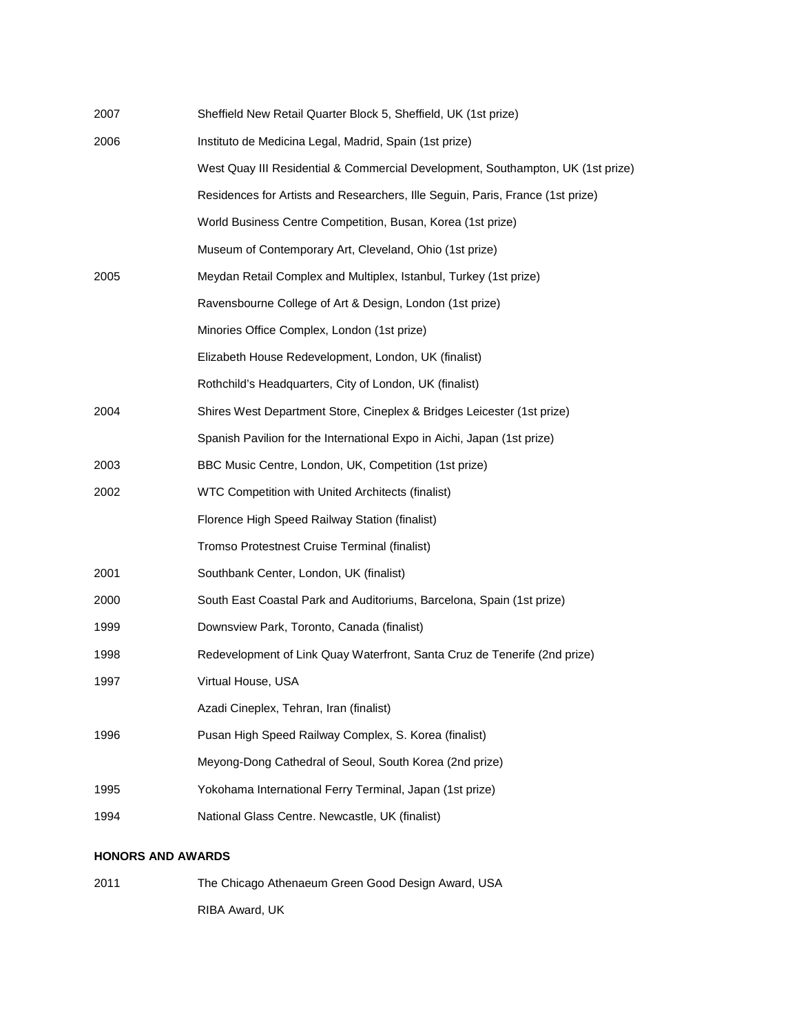| 2007 | Sheffield New Retail Quarter Block 5, Sheffield, UK (1st prize)                 |
|------|---------------------------------------------------------------------------------|
| 2006 | Instituto de Medicina Legal, Madrid, Spain (1st prize)                          |
|      | West Quay III Residential & Commercial Development, Southampton, UK (1st prize) |
|      | Residences for Artists and Researchers, Ille Seguin, Paris, France (1st prize)  |
|      | World Business Centre Competition, Busan, Korea (1st prize)                     |
|      | Museum of Contemporary Art, Cleveland, Ohio (1st prize)                         |
| 2005 | Meydan Retail Complex and Multiplex, Istanbul, Turkey (1st prize)               |
|      | Ravensbourne College of Art & Design, London (1st prize)                        |
|      | Minories Office Complex, London (1st prize)                                     |
|      | Elizabeth House Redevelopment, London, UK (finalist)                            |
|      | Rothchild's Headquarters, City of London, UK (finalist)                         |
| 2004 | Shires West Department Store, Cineplex & Bridges Leicester (1st prize)          |
|      | Spanish Pavilion for the International Expo in Aichi, Japan (1st prize)         |
| 2003 | BBC Music Centre, London, UK, Competition (1st prize)                           |
| 2002 | WTC Competition with United Architects (finalist)                               |
|      | Florence High Speed Railway Station (finalist)                                  |
|      | Tromso Protestnest Cruise Terminal (finalist)                                   |
| 2001 | Southbank Center, London, UK (finalist)                                         |
| 2000 | South East Coastal Park and Auditoriums, Barcelona, Spain (1st prize)           |
| 1999 | Downsview Park, Toronto, Canada (finalist)                                      |
| 1998 | Redevelopment of Link Quay Waterfront, Santa Cruz de Tenerife (2nd prize)       |
| 1997 | Virtual House, USA                                                              |
|      | Azadi Cineplex, Tehran, Iran (finalist)                                         |
| 1996 | Pusan High Speed Railway Complex, S. Korea (finalist)                           |
|      | Meyong-Dong Cathedral of Seoul, South Korea (2nd prize)                         |
| 1995 | Yokohama International Ferry Terminal, Japan (1st prize)                        |
| 1994 | National Glass Centre. Newcastle, UK (finalist)                                 |

# **HONORS AND AWARDS**

2011 The Chicago Athenaeum Green Good Design Award, USA RIBA Award, UK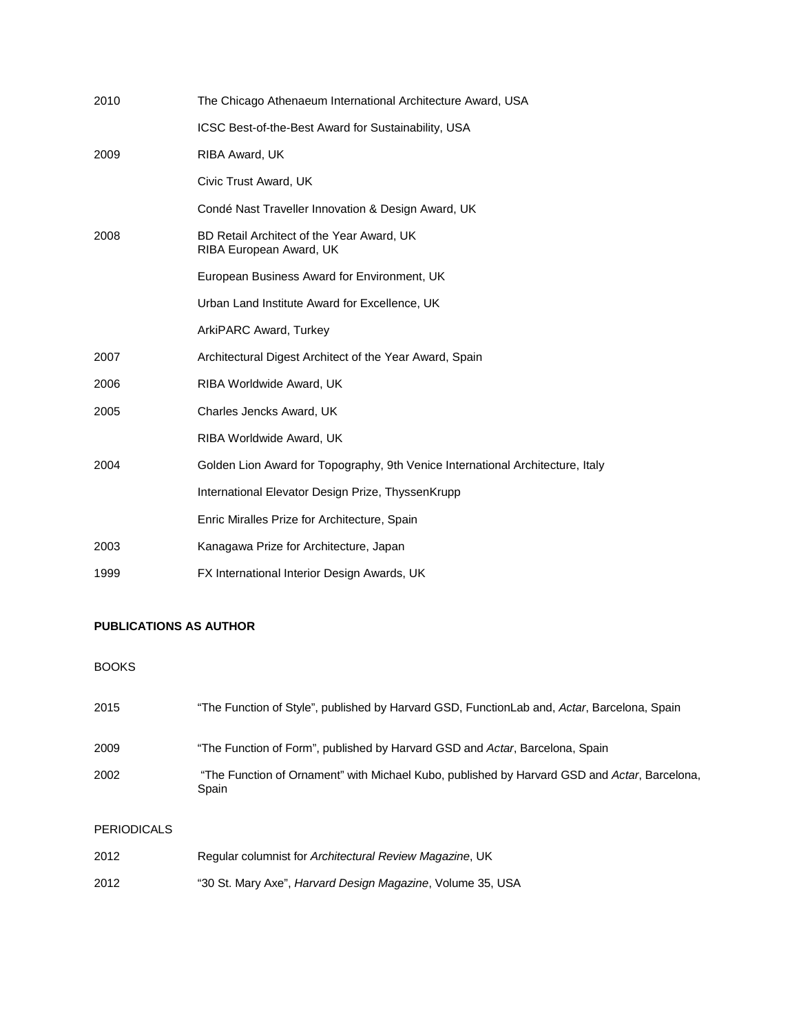| 2010 | The Chicago Athenaeum International Architecture Award, USA                    |
|------|--------------------------------------------------------------------------------|
|      | ICSC Best-of-the-Best Award for Sustainability, USA                            |
| 2009 | RIBA Award, UK                                                                 |
|      | Civic Trust Award, UK                                                          |
|      | Condé Nast Traveller Innovation & Design Award, UK                             |
| 2008 | BD Retail Architect of the Year Award, UK<br>RIBA European Award, UK           |
|      | European Business Award for Environment, UK                                    |
|      | Urban Land Institute Award for Excellence, UK                                  |
|      | ArkiPARC Award, Turkey                                                         |
| 2007 | Architectural Digest Architect of the Year Award, Spain                        |
| 2006 | RIBA Worldwide Award, UK                                                       |
| 2005 | Charles Jencks Award, UK                                                       |
|      | RIBA Worldwide Award, UK                                                       |
| 2004 | Golden Lion Award for Topography, 9th Venice International Architecture, Italy |
|      | International Elevator Design Prize, ThyssenKrupp                              |
|      | Enric Miralles Prize for Architecture, Spain                                   |
| 2003 | Kanagawa Prize for Architecture, Japan                                         |
| 1999 | FX International Interior Design Awards, UK                                    |

# **PUBLICATIONS AS AUTHOR**

# BOOKS

| 2015 | "The Function of Style", published by Harvard GSD, FunctionLab and, Actar, Barcelona, Spain           |
|------|-------------------------------------------------------------------------------------------------------|
| 2009 | "The Function of Form", published by Harvard GSD and Actar, Barcelona, Spain                          |
| 2002 | "The Function of Ornament" with Michael Kubo, published by Harvard GSD and Actar, Barcelona,<br>Spain |

# PERIODICALS

| 2012 | Regular columnist for Architectural Review Magazine, UK            |
|------|--------------------------------------------------------------------|
| 2012 | "30 St. Mary Axe", <i>Harvard Design Magazine</i> , Volume 35, USA |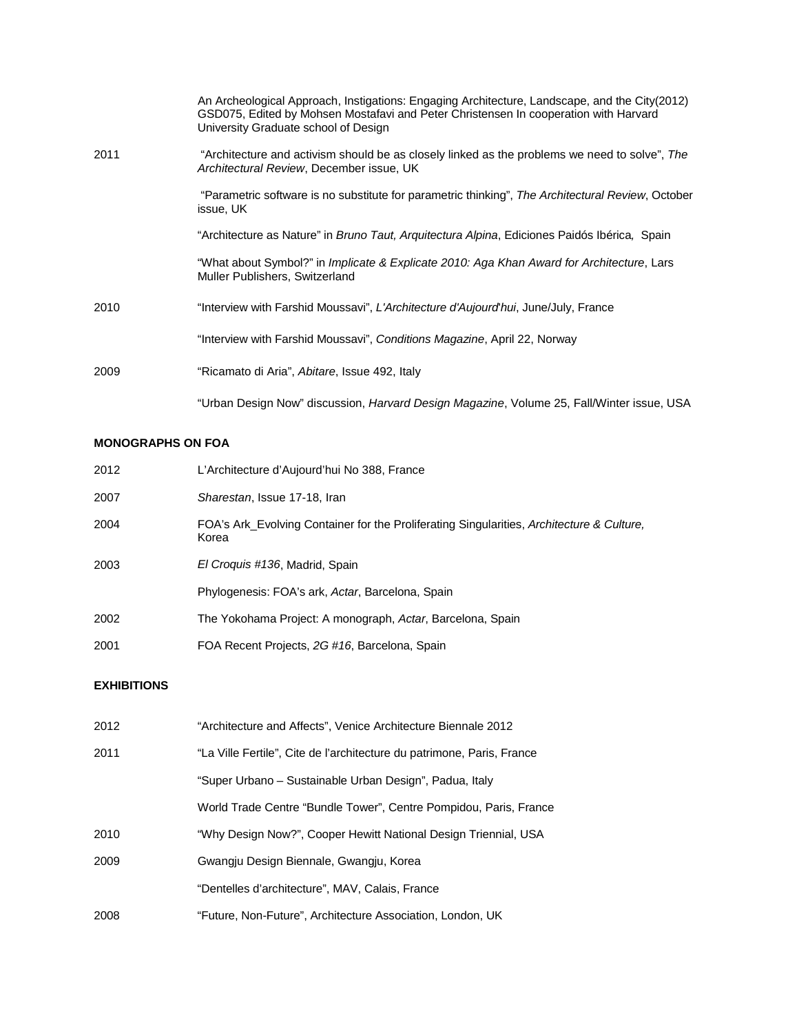|      | An Archeological Approach, Instigations: Engaging Architecture, Landscape, and the City(2012)<br>GSD075, Edited by Mohsen Mostafavi and Peter Christensen In cooperation with Harvard<br>University Graduate school of Design |
|------|-------------------------------------------------------------------------------------------------------------------------------------------------------------------------------------------------------------------------------|
| 2011 | "Architecture and activism should be as closely linked as the problems we need to solve", The<br>Architectural Review, December issue, UK                                                                                     |
|      | "Parametric software is no substitute for parametric thinking", The Architectural Review, October<br>issue, UK                                                                                                                |
|      | "Architecture as Nature" in <i>Bruno Taut, Arquitectura Alpina</i> , Ediciones Paidós Ibérica, Spain                                                                                                                          |
|      | "What about Symbol?" in <i>Implicate &amp; Explicate 2010: Aga Khan Award for Architecture</i> , Lars<br>Muller Publishers, Switzerland                                                                                       |
| 2010 | "Interview with Farshid Moussavi", L'Architecture d'Aujourd hui, June/July, France                                                                                                                                            |
|      | "Interview with Farshid Moussavi", Conditions Magazine, April 22, Norway                                                                                                                                                      |
| 2009 | "Ricamato di Aria", Abitare, Issue 492, Italy                                                                                                                                                                                 |
|      | "Urban Design Now" discussion, <i>Harvard Design Magazine</i> , Volume 25, Fall/Winter issue, USA                                                                                                                             |

# **MONOGRAPHS ON FOA**

| 2012 | L'Architecture d'Aujourd'hui No 388, France                                                        |
|------|----------------------------------------------------------------------------------------------------|
| 2007 | Sharestan, Issue 17-18, Iran                                                                       |
| 2004 | FOA's Ark_Evolving Container for the Proliferating Singularities, Architecture & Culture,<br>Korea |
| 2003 | El Croguis #136, Madrid, Spain                                                                     |
|      | Phylogenesis: FOA's ark, Actar, Barcelona, Spain                                                   |
| 2002 | The Yokohama Project: A monograph, Actar, Barcelona, Spain                                         |
| 2001 | FOA Recent Projects, 2G #16, Barcelona, Spain                                                      |

# **EXHIBITIONS**

| 2012 | "Architecture and Affects", Venice Architecture Biennale 2012          |
|------|------------------------------------------------------------------------|
| 2011 | "La Ville Fertile", Cite de l'architecture du patrimone, Paris, France |
|      | "Super Urbano – Sustainable Urban Design", Padua, Italy                |
|      | World Trade Centre "Bundle Tower", Centre Pompidou, Paris, France      |
| 2010 | "Why Design Now?", Cooper Hewitt National Design Triennial, USA        |
| 2009 | Gwangiu Design Biennale, Gwangiu, Korea                                |
|      | "Dentelles d'architecture", MAV, Calais, France                        |
| 2008 | "Future, Non-Future", Architecture Association, London, UK             |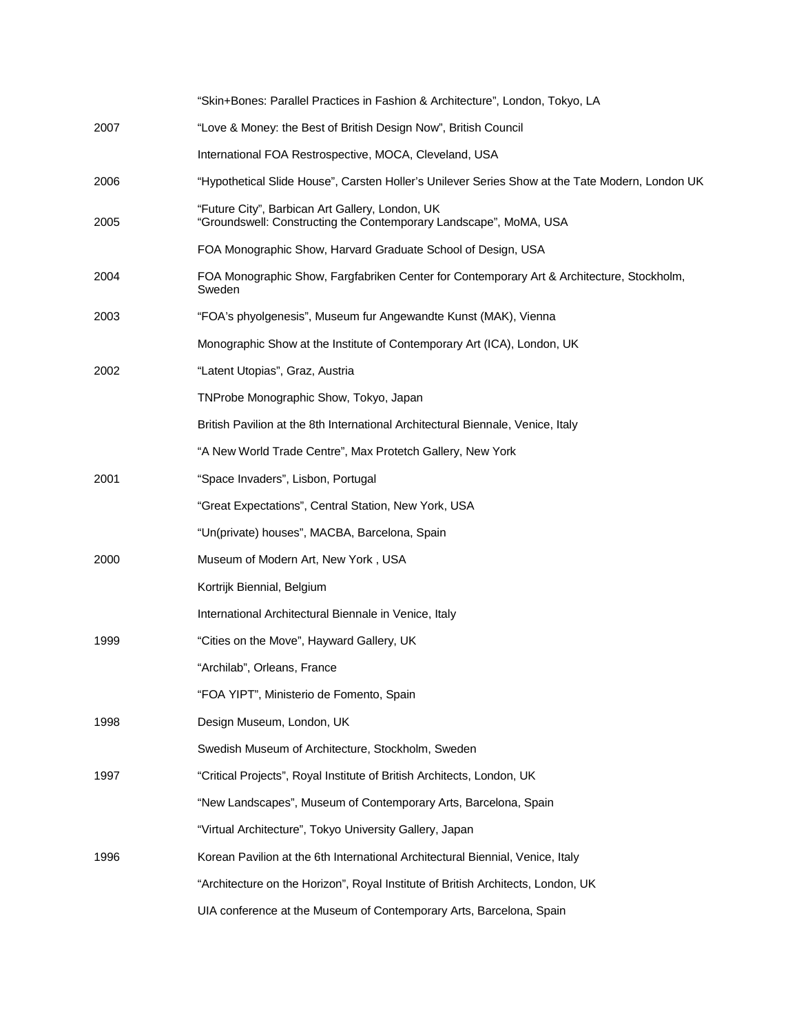|      | "Skin+Bones: Parallel Practices in Fashion & Architecture", London, Tokyo, LA                                        |
|------|----------------------------------------------------------------------------------------------------------------------|
| 2007 | "Love & Money: the Best of British Design Now", British Council                                                      |
|      | International FOA Restrospective, MOCA, Cleveland, USA                                                               |
| 2006 | "Hypothetical Slide House", Carsten Holler's Unilever Series Show at the Tate Modern, London UK                      |
| 2005 | "Future City", Barbican Art Gallery, London, UK<br>"Groundswell: Constructing the Contemporary Landscape", MoMA, USA |
|      | FOA Monographic Show, Harvard Graduate School of Design, USA                                                         |
| 2004 | FOA Monographic Show, Fargfabriken Center for Contemporary Art & Architecture, Stockholm,<br>Sweden                  |
| 2003 | "FOA's phyolgenesis", Museum fur Angewandte Kunst (MAK), Vienna                                                      |
|      | Monographic Show at the Institute of Contemporary Art (ICA), London, UK                                              |
| 2002 | "Latent Utopias", Graz, Austria                                                                                      |
|      | TNProbe Monographic Show, Tokyo, Japan                                                                               |
|      | British Pavilion at the 8th International Architectural Biennale, Venice, Italy                                      |
|      | "A New World Trade Centre", Max Protetch Gallery, New York                                                           |
| 2001 | "Space Invaders", Lisbon, Portugal                                                                                   |
|      | "Great Expectations", Central Station, New York, USA                                                                 |
|      | "Un(private) houses", MACBA, Barcelona, Spain                                                                        |
| 2000 | Museum of Modern Art, New York, USA                                                                                  |
|      | Kortrijk Biennial, Belgium                                                                                           |
|      | International Architectural Biennale in Venice, Italy                                                                |
| 1999 | "Cities on the Move", Hayward Gallery, UK                                                                            |
|      | "Archilab", Orleans, France                                                                                          |
|      | "FOA YIPT", Ministerio de Fomento, Spain                                                                             |
| 1998 | Design Museum, London, UK                                                                                            |
|      | Swedish Museum of Architecture, Stockholm, Sweden                                                                    |
| 1997 | "Critical Projects", Royal Institute of British Architects, London, UK                                               |
|      | "New Landscapes", Museum of Contemporary Arts, Barcelona, Spain                                                      |
|      | "Virtual Architecture", Tokyo University Gallery, Japan                                                              |
| 1996 | Korean Pavilion at the 6th International Architectural Biennial, Venice, Italy                                       |
|      | "Architecture on the Horizon", Royal Institute of British Architects, London, UK                                     |
|      | UIA conference at the Museum of Contemporary Arts, Barcelona, Spain                                                  |